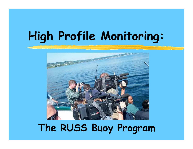# **High Profile Monitoring:**



# **The RUSS Buoy Program**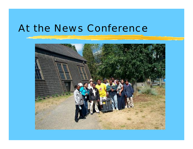#### At the News Conference

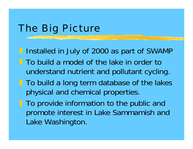### The Big Picture

**I** Installed in July of 2000 as part of SWAMP

- **The build a model of the lake in order to** understand nutrient and pollutant cycling.
- **To build a long term database of the lakes** physical and chemical properties.
- **To provide information to the public and** promote interest in Lake Sammamish and Lake Washington.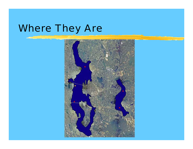# Where They Are

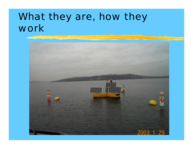## What they are, how they work

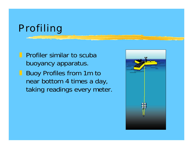# Profiling

**Profiler similar to scuba** buoyancy apparatus. **Buoy Profiles from 1m to** near bottom 4 times a day, taking readings every meter.

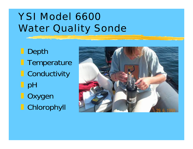# YSI Model 6600**Water Quality Sonde**

] Depth **Temperature O** Conductivity  $\blacksquare$  pH **D** Oxygen **Chlorophyll** 

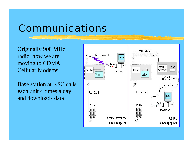### Communications

Originally 900 MHz radio, now we are moving to CDMA Cellular Modems.

Base station at KSC calls each unit 4 times a day and downloads data

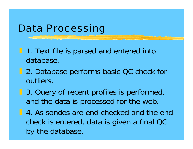#### Data Processing

- **1. Text file is parsed and entered into** database.
- **1** 2. Database performs basic QC check for outliers.
- **B.** 3. Query of recent profiles is performed, and the data is processed for the web.
- **1.** 4. As sondes are end checked and the end check is entered, data is given a final QC by the database.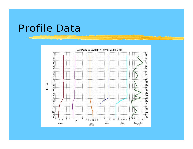#### Profile Data

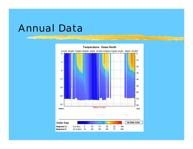#### Annual Data

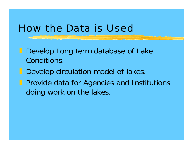#### How the Data is Used

**Develop Long term database of Lake** Conditions.

**Develop circulation model of lakes. Provide data for Agencies and Institutions** doing work on the lakes.